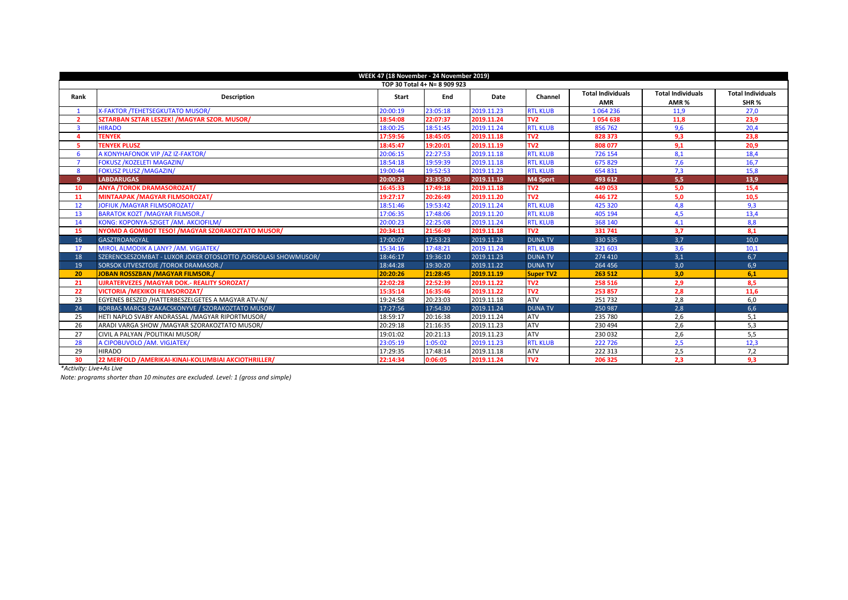| WEEK 47 (18 November - 24 November 2019) |                                                                |              |          |            |                  |                          |                          |                          |  |  |  |
|------------------------------------------|----------------------------------------------------------------|--------------|----------|------------|------------------|--------------------------|--------------------------|--------------------------|--|--|--|
| TOP 30 Total 4+ N= 8 909 923             |                                                                |              |          |            |                  |                          |                          |                          |  |  |  |
| Rank                                     | <b>Description</b>                                             | <b>Start</b> | End      | Date       | Channel          | <b>Total Individuals</b> | <b>Total Individuals</b> | <b>Total Individuals</b> |  |  |  |
|                                          |                                                                |              |          |            |                  | <b>AMR</b>               | AMR%                     | SHR <sub>%</sub>         |  |  |  |
| $\mathbf{1}$                             | <b>X-FAKTOR /TEHETSEGKUTATO MUSOR/</b>                         | 20:00:19     | 23:05:18 | 2019.11.23 | <b>RTL KLUB</b>  | 1064236                  | 11.9                     | 27,0                     |  |  |  |
| $\overline{\phantom{a}}$                 | SZTARBAN SZTAR LESZEK! / MAGYAR SZOR. MUSOR/                   | 18:54:08     | 22:07:37 | 2019.11.24 | TV <sub>2</sub>  | 1054638                  | 11,8                     | 23,9                     |  |  |  |
| $\overline{\mathbf{3}}$                  | <b>HIRADO</b>                                                  | 18:00:25     | 18:51:45 | 2019.11.24 | <b>RTL KLUB</b>  | 856762                   | 9,6                      | 20,4                     |  |  |  |
| Δ                                        | <b>TENYEK</b>                                                  | 17:59:56     | 18:45:05 | 2019.11.18 | TV <sub>2</sub>  | 828 373                  | 9,3                      | 23.8                     |  |  |  |
| 5.                                       | <b>TENYEK PLUSZ</b>                                            | 18:45:47     | 19:20:01 | 2019.11.19 | TV <sub>2</sub>  | 808 077                  | 9.1                      | 20.9                     |  |  |  |
| 6                                        | A KONYHAFONOK VIP /AZ IZ-FAKTOR/                               | 20:06:15     | 22:27:53 | 2019.11.18 | <b>RTL KLUB</b>  | 726 154                  | 8,1                      | 18,4                     |  |  |  |
|                                          | <b>FOKUSZ / KOZELETI MAGAZIN/</b>                              | 18:54:18     | 19:59:39 | 2019.11.18 | <b>RTL KLUB</b>  | 675829                   | 7,6                      | 16,7                     |  |  |  |
| 8                                        | <b>FOKUSZ PLUSZ /MAGAZIN/</b>                                  | 19:00:44     | 19:52:53 | 2019.11.23 | <b>RTL KLUB</b>  | 654 831                  | 7,3                      | 15,8                     |  |  |  |
| 9                                        | <b>LABDARUGAS</b>                                              | 20:00:23     | 23:35:30 | 2019.11.19 | <b>M4 Sport</b>  | 493 612                  | 5,5                      | 13,9                     |  |  |  |
| 10                                       | <b>ANYA /TOROK DRAMASOROZAT/</b>                               | 16:45:33     | 17:49:18 | 2019.11.18 | TV <sub>2</sub>  | 449 053                  | 5,0                      | 15,4                     |  |  |  |
| 11                                       | <b>MINTAAPAK /MAGYAR FILMSOROZAT/</b>                          | 19:27:17     | 20:26:49 | 2019.11.20 | TV <sub>2</sub>  | 446 172                  | 5,0                      | 10.5                     |  |  |  |
| 12                                       | <b>JOFIUK /MAGYAR FILMSOROZAT/</b>                             | 18:51:46     | 19:53:42 | 2019.11.24 | <b>RTL KLUB</b>  | 425 320                  | 4,8                      | 9,3                      |  |  |  |
| 13                                       | <b>BARATOK KOZT /MAGYAR FILMSOR./</b>                          | 17:06:35     | 17:48:06 | 2019.11.20 | <b>RTL KLUB</b>  | 405 194                  | 4,5                      | 13,4                     |  |  |  |
| 14                                       | KONG: KOPONYA-SZIGET /AM. AKCIOFILM/                           | 20:00:23     | 22:25:08 | 2019.11.24 | <b>RTL KLUB</b>  | 368 140                  | 4.1                      | 8.8                      |  |  |  |
| 15                                       | NYOMD A GOMBOT TESO! / MAGYAR SZORAKOZTATO MUSOR/              | 20:34:11     | 21:56:49 | 2019.11.18 | TV <sub>2</sub>  | 331 741                  | 3.7                      | 8.1                      |  |  |  |
| 16                                       | <b>GASZTROANGYAL</b>                                           | 17:00:07     | 17:53:23 | 2019.11.23 | <b>DUNA TV</b>   | 330 535                  | 3,7                      | 10.0                     |  |  |  |
| 17                                       | MIROL ALMODIK A LANY? / AM. VIGJATEK/                          | 15:34:16     | 17:48:21 | 2019.11.24 | <b>RTL KLUB</b>  | 321 603                  | 3,6                      | 10,1                     |  |  |  |
| 18                                       | SZERENCSESZOMBAT - LUXOR JOKER OTOSLOTTO /SORSOLASI SHOWMUSOR/ | 18:46:17     | 19:36:10 | 2019.11.23 | <b>DUNA TV</b>   | 274 410                  | 3,1                      | 6,7                      |  |  |  |
| 19                                       | SORSOK UTVESZTOJE /TOROK DRAMASOR./                            | 18:44:28     | 19:30:20 | 2019.11.22 | <b>DUNA TV</b>   | 264 456                  | 3,0                      | 6,9                      |  |  |  |
| 20                                       | <b>JOBAN ROSSZBAN / MAGYAR FILMSOR./</b>                       | 20:20:26     | 21:28:45 | 2019.11.19 | <b>Super TV2</b> | 263 512                  | 3,0                      | 6.1                      |  |  |  |
| 21                                       | <b>UJRATERVEZES / MAGYAR DOK.- REALITY SOROZAT/</b>            | 22:02:28     | 22:52:39 | 2019.11.22 | TV <sub>2</sub>  | 258 516                  | 2,9                      | 8.5                      |  |  |  |
| 22                                       | <b>VICTORIA / MEXIKOI FILMSOROZAT/</b>                         | 15:35:14     | 16:35:46 | 2019.11.22 | TV <sub>2</sub>  | 253 857                  | 2,8                      | 11,6                     |  |  |  |
| 23                                       | EGYENES BESZED / HATTERBESZELGETES A MAGYAR ATV-N/             | 19:24:58     | 20:23:03 | 2019.11.18 | <b>ATV</b>       | 251732                   | 2,8                      | 6,0                      |  |  |  |
| 24                                       | BORBAS MARCSI SZAKACSKONYVE / SZORAKOZTATO MUSOR/              | 17:27:56     | 17:54:30 | 2019.11.24 | <b>DUNA TV</b>   | 250 987                  | 2,8                      | 6,6                      |  |  |  |
| 25                                       | HETI NAPLO SVABY ANDRASSAL /MAGYAR RIPORTMUSOR/                | 18:59:17     | 20:16:38 | 2019.11.24 | <b>ATV</b>       | 235 780                  | 2.6                      | 5.1                      |  |  |  |
| 26                                       | ARADI VARGA SHOW / MAGYAR SZORAKOZTATO MUSOR/                  | 20:29:18     | 21:16:35 | 2019.11.23 | ATV              | 230 494                  | 2,6                      | 5,3                      |  |  |  |
| 27                                       | CIVIL A PALYAN / POLITIKAI MUSOR/                              | 19:01:02     | 20:21:13 | 2019.11.23 | <b>ATV</b>       | 230 032                  | 2,6                      | 5,5                      |  |  |  |
| 28                                       | A CIPOBUVOLO /AM. VIGJATEK/                                    | 23:05:19     | 1:05:02  | 2019.11.23 | <b>RTL KLUB</b>  | 222 726                  | 2,5                      | 12.3                     |  |  |  |
| 29                                       | <b>HIRADO</b>                                                  | 17:29:35     | 17:48:14 | 2019.11.18 | <b>ATV</b>       | 222 313                  | 2,5                      | 7,2                      |  |  |  |
| 30                                       | 22 MERFOLD / AMERIKAI-KINAI-KOLUMBIAI AKCIOTHRILLER/           | 22:14:34     | 0:06:05  | 2019.11.24 | TV <sub>2</sub>  | 206 325                  | 2,3                      | 9,3                      |  |  |  |

*\*Activity: Live+As Live*

*Note: programs shorter than 10 minutes are excluded. Level: 1 (gross and simple)*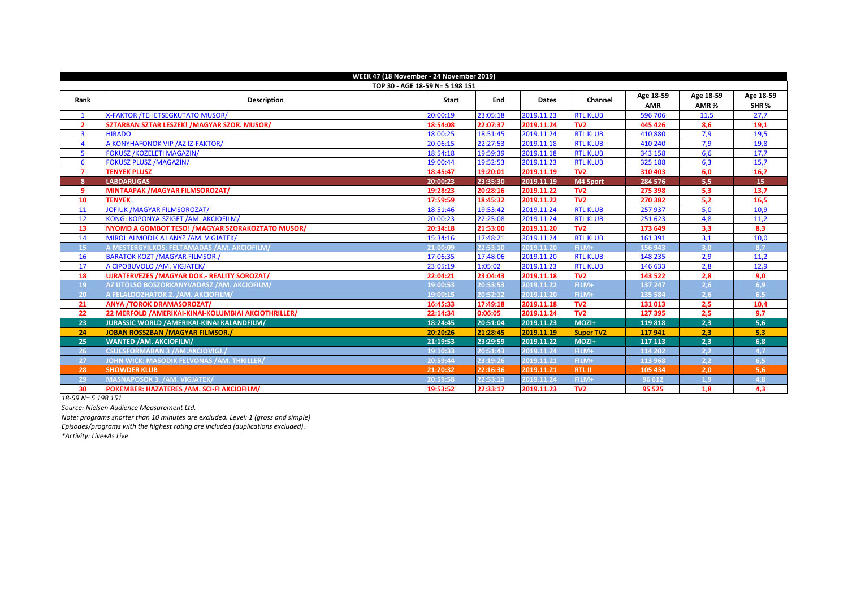| WEEK 47 (18 November - 24 November 2019) |                                                      |                                 |          |              |                 |            |           |                  |  |  |
|------------------------------------------|------------------------------------------------------|---------------------------------|----------|--------------|-----------------|------------|-----------|------------------|--|--|
|                                          |                                                      | TOP 30 - AGE 18-59 N= 5 198 151 |          |              |                 |            |           |                  |  |  |
|                                          |                                                      |                                 | End      |              |                 | Age 18-59  | Age 18-59 | Age 18-59        |  |  |
| Rank                                     | <b>Description</b>                                   | Start                           |          | <b>Dates</b> | Channel         | <b>AMR</b> | AMR%      | SHR <sub>%</sub> |  |  |
| $\mathbf{1}$                             | X-FAKTOR /TEHETSEGKUTATO MUSOR/                      | 20:00:19                        | 23:05:18 | 2019.11.23   | <b>RTL KLUB</b> | 596 706    | 11,5      | 27,7             |  |  |
| $\overline{2}$                           | SZTARBAN SZTAR LESZEK! / MAGYAR SZOR. MUSOR/         | 18:54:08                        | 22:07:37 | 2019.11.24   | TV <sub>2</sub> | 445 426    | 8,6       | 19,1             |  |  |
| $\overline{3}$                           | <b>HIRADO</b>                                        | 18:00:25                        | 18:51:45 | 2019.11.24   | <b>RTL KLUB</b> | 410 880    | 7,9       | 19,5             |  |  |
| 4                                        | A KONYHAFONOK VIP / AZ IZ-FAKTOR/                    | 20:06:15                        | 22:27:53 | 2019.11.18   | <b>RTL KLUB</b> | 410 240    | 7,9       | 19,8             |  |  |
| 5                                        | <b>FOKUSZ /KOZELETI MAGAZIN/</b>                     | 18:54:18                        | 19:59:39 | 2019.11.18   | <b>RTL KLUB</b> | 343 158    | 6,6       | 17,7             |  |  |
| 6                                        | <b>FOKUSZ PLUSZ /MAGAZIN/</b>                        | 19:00:44                        | 19:52:53 | 2019.11.23   | <b>RTL KLUB</b> | 325 188    | 6,3       | 15,7             |  |  |
| $\overline{7}$                           | <b>TENYEK PLUSZ</b>                                  | 18:45:47                        | 19:20:01 | 2019.11.19   | TV <sub>2</sub> | 310 403    | 6,0       | 16,7             |  |  |
| 8                                        | <b>LABDARUGAS</b>                                    | 20:00:23                        | 23:35:30 | 2019.11.19   | M4 Sport        | 284 576    | 5,5       | 15               |  |  |
| 9                                        | <b>MINTAAPAK /MAGYAR FILMSOROZAT/</b>                | 19:28:23                        | 20:28:16 | 2019.11.22   | TV <sub>2</sub> | 275 398    | 5,3       | 13,7             |  |  |
| 10                                       | <b>TENYEK</b>                                        | 17:59:59                        | 18:45:32 | 2019.11.22   | T <sub>2</sub>  | 270 382    | 5,2       | 16,5             |  |  |
| 11                                       | JOFIUK / MAGYAR FILMSOROZAT/                         | 18:51:46                        | 19:53:42 | 2019.11.24   | <b>RTL KLUB</b> | 257937     | 5,0       | 10,9             |  |  |
| 12                                       | KONG: KOPONYA-SZIGET /AM. AKCIOFILM/                 | 20:00:23                        | 22:25:08 | 2019.11.24   | <b>RTL KLUB</b> | 251 623    | 4,8       | 11,2             |  |  |
| 13                                       | NYOMD A GOMBOT TESO! / MAGYAR SZORAKOZTATO MUSOR/    | 20:34:18                        | 21:53:00 | 2019.11.20   | T <sub>2</sub>  | 173 649    | 3,3       | 8,3              |  |  |
| 14                                       | MIROL ALMODIK A LANY? / AM. VIGJATEK/                | 15:34:16                        | 17:48:21 | 2019.11.24   | <b>RTL KLUB</b> | 161 391    | 3,1       | 10,0             |  |  |
| 15                                       | A MESTERGYILKOS: FELTAMADAS /AM. AKCIOFILM/          | 21:00:09                        | 22:53:10 | 2019.11.20   | FILM+           | 156 943    | 3,0       | 8.7              |  |  |
| 16                                       | <b>BARATOK KOZT / MAGYAR FILMSOR./</b>               | 17:06:35                        | 17:48:06 | 2019.11.20   | <b>RTL KLUB</b> | 148 235    | 2,9       | 11,2             |  |  |
| 17                                       | A CIPOBUVOLO /AM. VIGJATEK/                          | 23:05:19                        | 1:05:02  | 2019.11.23   | <b>RTL KLUB</b> | 146 633    | 2,8       | 12,9             |  |  |
| 18                                       | <b>UJRATERVEZES / MAGYAR DOK.- REALITY SOROZAT/</b>  | 22:04:21                        | 23:04:43 | 2019.11.18   | TV <sub>2</sub> | 143 522    | 2,8       | 9,0              |  |  |
| 19                                       | AZ UTOLSO BOSZORKANYVADASZ /AM. AKCIOFILM/           | 19:00:53                        | 20:53:53 | 2019.11.22   | FILM+           | 137 247    | 2,6       | 6,9              |  |  |
| 20                                       | A FELALDOZHATOK 2. /AM. AKCIOFILM/                   | 19:00:15                        | 20:52:12 | 2019.11.20   | FILM+           | 135 584    | 2,6       | 6,5              |  |  |
| 21                                       | <b>ANYA /TOROK DRAMASOROZAT/</b>                     | 16:45:33                        | 17:49:18 | 2019.11.18   | TV <sub>2</sub> | 131 013    | 2,5       | 10,4             |  |  |
| 22                                       | 22 MERFOLD / AMERIKAI-KINAI-KOLUMBIAI AKCIOTHRILLER/ | 22:14:34                        | 0:06:05  | 2019.11.24   | TV <sub>2</sub> | 127 395    | 2,5       | 9,7              |  |  |
| 23                                       | <b>JURASSIC WORLD / AMERIKAI-KINAI KALANDFILM/</b>   | 18:24:45                        | 20:51:04 | 2019.11.23   | $MOZI +$        | 119818     | 2,3       | 5,6              |  |  |
| 24                                       | <b>JOBAN ROSSZBAN /MAGYAR FILMSOR./</b>              | 20:20:26                        | 21:28:45 | 2019.11.19   | Super TV2       | 117941     | 2,3       | 5,3              |  |  |
| 25                                       | <b>WANTED /AM. AKCIOFILM/</b>                        | 21:19:53                        | 23:29:59 | 2019.11.22   | MOZI+           | 117 113    | 2,3       | 6,8              |  |  |
| 26                                       | CSUCSFORMABAN 3 / AM.AKCIOVIGJ./                     | 19:10:33                        | 20:51:43 | 2019.11.24   | FILM+           | 114 202    | 2,2       | 4,7              |  |  |
| 27                                       | JOHN WICK: MASODIK FELVONAS /AM. THRILLER/           | 20:59:44                        | 23:19:26 | 2019.11.21   | FILM+           | 113 968    | 2,2       | 6,5              |  |  |
| 28                                       | <b>SHOWDER KLUB</b>                                  | 21:20:32                        | 22:16:36 | 2019.11.21   | <b>RTL II</b>   | 105 434    | 2,0       | 5,6              |  |  |
| 29                                       | <b>MASNAPOSOK 3. /AM. VIGJATEK/</b>                  | 20:59:58                        | 22:53:13 | 2019.11.24   | FILM+           | 96 612     | 1,9       | 4,8              |  |  |
| 30                                       | POKEMBER: HAZATERES /AM. SCI-FI AKCIOFILM/           | 19:53:52                        | 22:33:17 | 2019.11.23   | TV <sub>2</sub> | 95 525     | 1.8       | 4,3              |  |  |

*18-59 N= 5 198 151*

*Source: Nielsen Audience Measurement Ltd.*

*Note: programs shorter than 10 minutes are excluded. Level: 1 (gross and simple) Episodes/programs with the highest rating are included (duplications excluded).* 

*\*Activity: Live+As Live*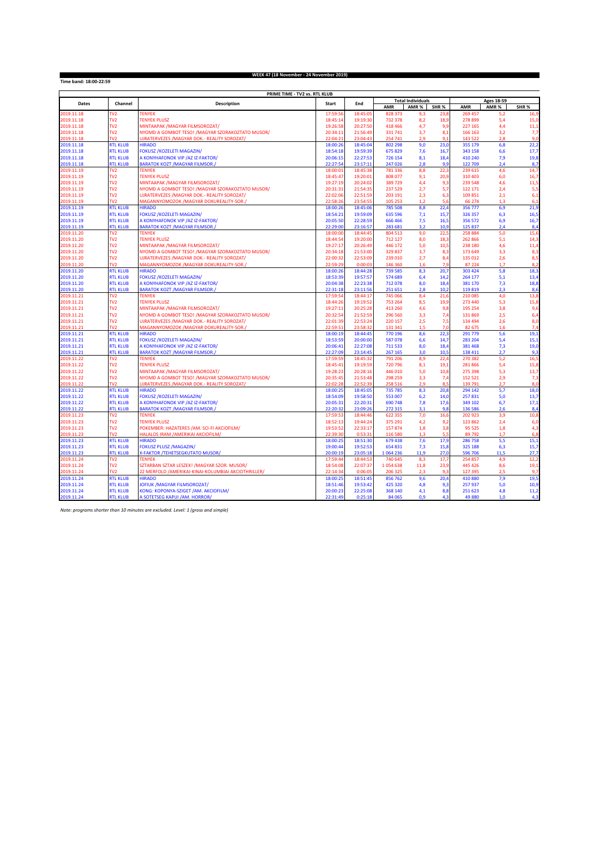**Time band: 18:00-22:59**

## **WEEK 47 (18 November - 24 November 2019)**

|                          |                                    | PRIME TIME - TV2 vs. RTL KLUB                                         |                      |                      |                    |                          |              |                    |                   |                  |
|--------------------------|------------------------------------|-----------------------------------------------------------------------|----------------------|----------------------|--------------------|--------------------------|--------------|--------------------|-------------------|------------------|
| Dates                    | Channel                            | <b>Description</b>                                                    | <b>Start</b>         | End                  |                    | <b>Total Individuals</b> |              |                    | <b>Ages 18-59</b> |                  |
|                          |                                    |                                                                       |                      |                      | <b>AMR</b>         | AMR %                    | SHR%         | AMR                | AMR %             | SHR <sub>%</sub> |
| 2019.11.18               | TV <sub>2</sub>                    | <b>TENYEK</b>                                                         | 17:59:5              | 18:45:09             | 828 373            | 9,3                      | 23,8         | 269 457            | 5,2               | 16,9             |
| 2019.11.18               | TV <sub>2</sub>                    | <b>TENYEK PLUSZ</b>                                                   | 18:45:14             | 19:19:30             | 732 378            | 8,2                      | 18,9         | 278 899            | 5,4               | 15 <sub>c</sub>  |
| 2019.11.18               | TV <sub>2</sub>                    | MINTAAPAK / MAGYAR FILMSOROZAT/                                       | 19:26:58             | 20:27:50             | 418 466            | 4,7                      | 9,9          | 227 165            | 4,4               | 11,1             |
| 2019.11.18               | TV <sub>2</sub>                    | NYOMD A GOMBOT TESO! / MAGYAR SZORAKOZTATO MUSOR/                     | 20:34:11             | 21:56:49             | 331 741            | 3,7                      | 8,1          | 166 163            | 3,2               | 7,7              |
| 2019 11 18               | TV <sub>2</sub>                    | UJRATERVEZES / MAGYAR DOK. - REALITY SOROZAT/                         | 22:04:2              | 23:04:43             | 254 741            | 2.9                      | 9.1          | 143 522            | 2.8               | 9.0              |
| 2019.11.18               | <b>RTL KLUB</b>                    | <b>HIRADO</b>                                                         | 18:00:26             | 18:45:04             | 802 298            | 9,0                      | 23,0         | 355 179            | 6.8               | 22,2             |
| 2019.11.18<br>2019.11.18 | <b>RTL KLUB</b><br><b>RTL KLUB</b> | FOKUSZ /KOZELETI MAGAZIN/<br>A KONYHAFONOK VIP / AZ IZ-FAKTOR/        | 18:54:18<br>20:06:15 | 19:59:39<br>22:27:53 | 675 829<br>726 154 | 7,6<br>8,1               | 16,7<br>18,4 | 343 158<br>410 240 | 6,6<br>7,9        | 17,7<br>19,8     |
| 2019.11.18               | <b>RTL KLUB</b>                    | <b>BARATOK KOZT / MAGYAR FILMSOR.</b>                                 | 22:27:54             | 23:17:13             | 247 026            | 2.8                      | 9,9          | 122 709            | 2.4               | 8,7              |
| 2019.11.19               | TV <sub>2</sub>                    | <b>TENYEK</b>                                                         | 18:00:03             | 18:45:38             | 781 336            | 8,8                      | 22,3         | 239 615            | 4,6               | 14,7             |
| 2019.11.19               | TV <sub>2</sub>                    | <b>TENYEK PLUSZ</b>                                                   | 18:45:47             | 19:20:01             | 808 077            | 9,1                      | 20,9         | 310 403            | 6,0               | 16,7             |
| 2019.11.19               | TV <sub>2</sub>                    | MINTAAPAK / MAGYAR FILMSOROZAT/                                       | 19:27:19             | 20:24:02             | 389729             | 4,4                      | 9,3          | 239 548            | 4,6               | 11,5             |
| 2019.11.19               | TV <sub>2</sub>                    | NYOMD A GOMBOT TESO! / MAGYAR SZORAKOZTATO MUSOR/                     | 20:31:31             | 21:54:35             | 237 529            | 2,7                      | 5,7          | 122 171            | 2,4               | 5,5              |
| 2019.11.19               | TV <sub>2</sub>                    | UJRATERVEZES / MAGYAR DOK.- REALITY SOROZAT/                          | 22:02:06             | 22:51:59             | 203 191            | 2,3                      | 6,3          | 109 851            | 2,1               | 6,1              |
| 2019.11.19               | TV <sub>2</sub>                    | <b>MAGANNYOMOZOK / MAGYAR DOKUREALITY-SOR./</b>                       | 22:58:21             | 23:54:5              | 105 253            | 1.2                      | 5.6          | 66 274             | 1.3               | 6,1              |
| 2019.11.19               | <b>RTL KLUB</b>                    | <b>HIRADO</b>                                                         | 18:00:26             | 18:45:06             | 785 508            | 8,8                      | 22,4         | 356 777            | 6,9               | 21,9             |
| 2019.11.19               | <b>RTL KLUB</b>                    | <b>FOKUSZ /KOZELETI MAGAZIN/</b>                                      | 18:54:21             | 19:59:09             | 635 596            | 7,1                      | 15,7         | 326 357            | 6,3               | 16,5             |
| 2019.11.19               | <b>RTL KLUB</b>                    | A KONYHAFONOK VIP / AZ IZ-FAKTOR/                                     | 20:05:50             | 22:28:59             | 666 466            | 7,5                      | 16,5         | 356 572            | 6,9               | 16,7             |
| 2019.11.19               | <b>RTL KLUB</b>                    | <b>BARATOK KOZT /MAGYAR FILMSOR./</b>                                 | 22:29:00             | 23:16:57             | 283 681            | 3.2                      | 10.9         | 125 837            | 2.4               | 8,4              |
| 2019.11.20               | TV <sub>2</sub>                    | <b>TENYEK</b>                                                         | 18:00:00             | 18:44:45             | 804 513            | 9,0                      | 22,5         | 258 884            | 5,0               | 15,6             |
| 2019.11.20               | TV <sub>2</sub>                    | <b>TENYEK PLUSZ</b>                                                   | 18:44:54             | 19:20:00             | 712 127            | 8,0                      | 18,3         | 262 866            | 5,1               | 14,3             |
| 2019.11.20               | TV <sub>2</sub>                    | MINTAAPAK / MAGYAR FILMSOROZAT/                                       | 19:27:17             | 20:26:49             | 446 172            | 5,0                      | 10,5         | 238 180            | 4,6               | 11,4             |
| 2019.11.20               | TV <sub>2</sub>                    | NYOMD A GOMBOT TESO! / MAGYAR SZORAKOZTATO MUSOR/                     | 20:34:18             | 21:53:00             | 329 837            | 3,7                      | 8,3          | 173 649            | 3,3               | 8,3              |
| 2019.11.20               | TV <sub>2</sub>                    | UJRATERVEZES / MAGYAR DOK.- REALITY SOROZAT/                          | 22:00:32             | 22:53:09             | 239 010            | 2,7                      | 8,4          | 135 012            | 2,6               | 8,5              |
| 2019.11.20               | TV <sub>2</sub>                    | MAGANNYOMOZOK / MAGYAR DOKUREALITY-SOR./                              | 22:59:21             | 0:00:00              | 146 360            | 1.6                      | 7.9          | 87 224             | 1.7               | 8.2              |
| 2019.11.20               | <b>RTL KLUB</b>                    | <b>HIRADO</b>                                                         | 18:00:26             | 18:44:28             | 739 585            | 8,3                      | 20,7         | 303 424            | 5,8               | 18,3             |
| 2019.11.20               | <b>RTL KLUB</b>                    | FOKUSZ / KOZELETI MAGAZIN/                                            | 18:53:39             | 19:57:57             | 574 689            | 6,4                      | 14,2         | 264 177            | 5,1               | 13,4             |
| 2019.11.20               | <b>RTL KLUB</b>                    | A KONYHAFONOK VIP / AZ IZ-FAKTOR/                                     | 20:04:38             | 22:23:38             | 712078             | 8,0                      | 18,4         | 381 170            | 7,3               | 18,8             |
| 2019.11.20               | <b>RTL KLUB</b>                    | <b>BARATOK KOZT / MAGYAR FILMSOR.</b>                                 | 22:31:18             | 23:11:56             | 251 651            | 2.8                      | 10,2         | 119819             | 2,3               | 8,6              |
| 2019.11.21               | TV <sub>2</sub>                    | <b>TENYEK</b>                                                         | 17:59:54             | 18:44:17             | 745 066            | 8,4                      | 21,6         | 210 085            | 4,0               | 13,8             |
| 2019.11.21               | TV <sub>2</sub>                    | <b>TENYEK PLUSZ</b>                                                   | 18:44:26             | 19:19:52             | 753 264            | 8,5                      | 19,9         | 273 440            | 5,3               | 15,8             |
| 2019.11.21               | TV <sub>2</sub>                    | MINTAAPAK / MAGYAR FILMSOROZAT/                                       | 19:27:11             | 20:25:28             | 413 260            | 4,6                      | 9,8          | 195 254            | 3,8               | 9,6              |
| 2019.11.21               | TV <sub>2</sub><br>TV <sub>2</sub> | NYOMD A GOMBOT TESO! / MAGYAR SZORAKOZTATO MUSOR/                     | 20:32:54             | 21:52:59             | 296 560<br>220 157 | 3,3                      | 7,4          | 131 869<br>134 494 | 2,5               | 6/               |
| 2019.11.21<br>2019.11.21 | TV <sub>2</sub>                    | UJRATERVEZES / MAGYAR DOK. - REALITY SOROZAT/                         | 22:01:39<br>22:59:5  | 22:53:24<br>23:58:32 | 131 341            | 2,5<br>1.5               | 7,5<br>7.0   | 82 675             | 2,6<br>1.6        | 8,0<br>74        |
| 2019.11.21               | <b>RTL KLUB</b>                    | MAGANNYOMOZOK /MAGYAR DOKUREALITY-SOR./<br><b>HIRADO</b>              | 18:00:19             | 18:44:45             | 770 196            | 8,6                      | 22,3         | 291 779            | 5,6               | 19,1             |
| 2019.11.21               | <b>RTL KLUB</b>                    | <b>FOKUSZ /KOZELETI MAGAZIN/</b>                                      | 18:53:59             | 20:00:00             | 587078             | 6,6                      | 14,7         | 283 204            | 5,4               | 15,1             |
| 2019.11.21               | <b>RTL KLUB</b>                    | A KONYHAFONOK VIP / AZ IZ-FAKTOR/                                     | 20:06:41             | 22:27:08             | 711 533            | 8,0                      | 18.4         | 381 468            | 7,3               | 19 <sub>c</sub>  |
| 2019.11.21               | <b>RTL KLUB</b>                    | <b>BARATOK KOZT / MAGYAR FILMSOR./</b>                                | 22:27:09             | 23:14:45             | 267 165            | 3,0                      | 10,5         | 138 411            | 2.7               | 9,3              |
| 2019.11.22               | TV <sub>2</sub>                    | <b>TENYEK</b>                                                         | 17:59:59             | 18:45:32             | 791 206            | 8,9                      | 22,4         | 270 382            | 5,2               | 16 <sub>5</sub>  |
| 2019.11.22               | TV <sub>2</sub>                    | <b>TENYEK PLUSZ</b>                                                   | 18:45:41             | 19:19:59             | 720 796            | 8,1                      | 19,1         | 281 866            | 5,4               | 15,8             |
| 2019.11.22               | TV <sub>2</sub>                    | MINTAAPAK / MAGYAR FILMSOROZAT/                                       | 19:28:23             | 20:28:16             | 446 010            | 5,0                      | 10,8         | 275 398            | 5,3               | 13,7             |
| 2019.11.22               | TV <sub>2</sub>                    | NYOMD A GOMBOT TESO! / MAGYAR SZORAKOZTATO MUSOR/                     | 20:35:45             | 21:53:48             | 298 259            | 3,3                      | 7,4          | 152 521            | 2,9               | 7,3              |
| 2019.11.22               | TV <sub>2</sub>                    | <b>UJRATERVEZES / MAGYAR DOK.- REALITY SOROZAT/</b>                   | 22:02:2              | 22:52:3              | 258 516            | 2,9                      | 8,5          | 139 791            | 2,7               | 8,0              |
| 2019.11.22               | <b>RTL KLUB</b>                    | <b>HIRADO</b>                                                         | 18:00:25             | 18:45:05             | 735 785            | 8,3                      | 20,8         | 294 142            | 5,7               | 18,0             |
| 2019.11.22               | <b>RTL KLUB</b>                    | <b>FOKUSZ /KOZELETI MAGAZIN/</b>                                      | 18:54:09             | 19:58:50             | 553 007            | 6,2                      | 14,0         | 257 831            | 5,0               | 13,7             |
| 2019.11.22               | <b>RTL KLUB</b>                    | A KONYHAFONOK VIP / AZ IZ-FAKTOR/                                     | 20:05:31             | 22:20:31             | 690748             | 7,8                      | 17.6         | 349 102            | 6,7               | 17,1             |
| 2019.11.22               | <b>RTL KLUB</b>                    | <b>BARATOK KOZT / MAGYAR FILMSOR./</b>                                | 22:20:32             | 23:09:26             | 272 315            | 3,1                      | 9,8          | 136 586            | 2,6               | 8,4              |
| 2019.11.23               | TV <sub>2</sub>                    | <b>TENYEK</b>                                                         | 17:59:53             | 18:44:46             | 622 355            | 7,0                      | 16,6         | 202 923            | 3,9               | 10,8             |
| 2019.11.23               | TV <sub>2</sub>                    | <b>TENYEK PLUSZ</b>                                                   | 18:52:13             | 19:44:24             | 375 291            | 4,2                      | 9,2          | 123 862            | 2,4               | 6,0              |
| 2019.11.23               | TV <sub>2</sub>                    | POKEMBER: HAZATERES / AM. SCI-FI AKCIOFILM/                           | 19:53:52             | 22:33:17             | 157874             | 1,8                      | 3,8          | 95 5 25            | 1,8               | 4,3              |
| 2019.11.23               | TV <sub>2</sub>                    | HALALOS IRAM / AMERIKAI AKCIOFILM/                                    | 22:39:30             | 0:53:3               | 116 580            | 1.3                      | 5.5          | 89792              | 1.7               | 6.8              |
| 2019.11.23               | <b>RTL KLUB</b>                    | <b>HIRADO</b>                                                         | 18:00:25             | 18:51:30             | 679 438            | 7,6                      | 17.9         | 286758             | 5,5               | 15,1             |
| 2019.11.23               | <b>RTL KLUB</b>                    | <b>FOKUSZ PLUSZ /MAGAZIN/</b>                                         | 19:00:44             | 19:52:53             | 654 831            | 7,3                      | 15,8         | 325 188            | 6,3               | 15,7             |
| 2019.11.23               | <b>RTL KLUB</b>                    | <b>X-FAKTOR /TEHETSEGKUTATO MUSOR/</b>                                | 20:00:19             | 23:05:18             | 1064236            | 11,9                     | 27,0         | 596 706            | 11,5              | 27,7             |
| 2019.11.24               | TV <sub>2</sub>                    | <b>TENYEK</b>                                                         | 17:59:44             | 18:44:53             | 740 645            | 8,3                      | 17,7         | 254 857            | 4,9               | 12,2             |
| 2019.11.24               | TV <sub>2</sub>                    | SZTARBAN SZTAR LESZEK! /MAGYAR SZOR. MUSOR/                           | 18:54:08             | 22:07:37             | 1054638            | 11,8                     | 23,9         | 445 426            | 8,6               | 19,1             |
| 2019.11.24               | $\overline{N2}$                    | 22 MERFOLD / AMERIKAI-KINAI-KOLUMBIAI AKCIOTHRILLER/                  | 22:14:3              | 0:06:0               | 206 325            | 2,3                      | 9,3          | 127 395            | 2,5               | 9,7              |
| 2019.11.24               | <b>RTL KLUB</b>                    | <b>HIRADO</b>                                                         | 18:00:25             | 18:51:45             | 856762             | 9,6                      | 20,4         | 410 880            | 7,9               | 19,5             |
| 2019.11.24<br>2019.11.24 | <b>RTL KLUB</b><br><b>RTL KLUB</b> | JOFIUK / MAGYAR FILMSOROZAT/<br>KONG: KOPONYA-SZIGET / AM. AKCIOFILM/ | 18:51:46<br>20:00:23 | 19:53:42<br>22:25:08 | 425 320<br>368 140 | 4,8                      | 9,3<br>8,8   | 257 937<br>251 623 | 5,0<br>4,8        | 10,9             |
| 2019.11.24               | <b>RTL KLUB</b>                    | A SOTETSEG KAPUI / AM. HORROR/                                        | 22:31:49             | 0:25:18              | 84 065             | 4,1<br>0,9               | 4,3          | 49 880             | 1,0               | 11,2<br>4,3      |
|                          |                                    |                                                                       |                      |                      |                    |                          |              |                    |                   |                  |

*Note: programs shorter than 10 minutes are excluded. Level: 1 (gross and simple)*